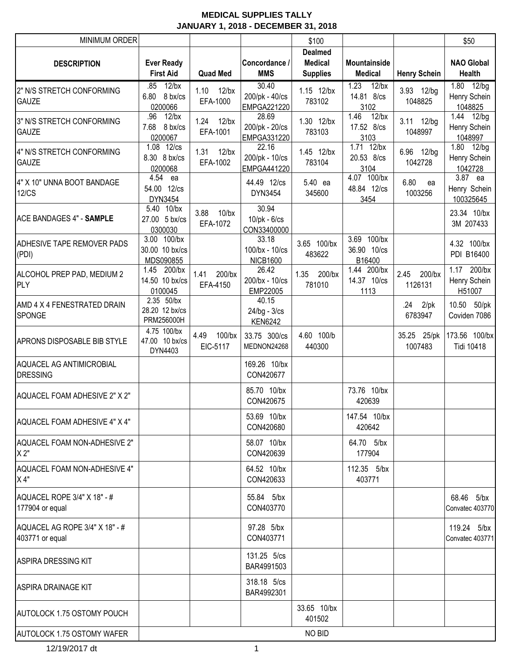| <b>MINIMUM ORDER</b>              |                            |                   |                               | \$100           |                       |                     | \$50                      |
|-----------------------------------|----------------------------|-------------------|-------------------------------|-----------------|-----------------------|---------------------|---------------------------|
|                                   |                            |                   |                               | <b>Dealmed</b>  |                       |                     |                           |
| <b>DESCRIPTION</b>                | <b>Ever Ready</b>          |                   | Concordance /                 | Medical         | Mountainside          |                     | <b>NAO Global</b>         |
|                                   | <b>First Aid</b>           | <b>Quad Med</b>   | <b>MMS</b>                    | <b>Supplies</b> | <b>Medical</b>        | <b>Henry Schein</b> | <b>Health</b>             |
| 2" N/S STRETCH CONFORMING         | $12$ /bx<br>.85            | $12$ /bx<br>1.10  | 30.40                         | 1.15 12/bx      | 1.23<br>$12$ /bx      | 3.93 12/bg          | $1.80$ $12/bg$            |
| <b>GAUZE</b>                      | 8 bx/cs<br>6.80<br>0200066 | EFA-1000          | 200/pk - 40/cs<br>EMPGA221220 | 783102          | 14.81 8/cs<br>3102    | 1048825             | Henry Schein<br>1048825   |
|                                   | .96<br>$12$ /bx            |                   | 28.69                         |                 | 1.46<br>$12$ /bx      |                     | 1.44 12/bg                |
| 3" N/S STRETCH CONFORMING         | 7.68<br>8 bx/cs            | 1.24 12/bx        | 200/pk - 20/cs                | 1.30 12/bx      | 17.52 8/cs            | 3.11 12/bg          | Henry Schein              |
| <b>GAUZE</b>                      | 0200067                    | EFA-1001          | EMPGA331220                   | 783103          | 3103                  | 1048997             | 1048997                   |
| 4" N/S STRETCH CONFORMING         | 1.08 12/cs                 | $12$ /bx<br>1.31  | 22.16                         | 1.45 12/bx      | 1.71 12/bx            | 6.96 12/bg          | 1.80 12/bg                |
| <b>GAUZE</b>                      | 8.30 8 bx/cs               | EFA-1002          | 200/pk - 10/cs                | 783104          | 20.53 8/cs            | 1042728             | Henry Schein              |
|                                   | 0200068<br>4.54            |                   | EMPGA441220                   |                 | 3104<br>4.07 100/bx   |                     | 1042728<br>3.87 ea        |
| 4" X 10" UNNA BOOT BANDAGE        | ea<br>54.00 12/cs          |                   | 44.49 12/cs                   | 5.40 ea         | 48.84 12/cs           | 6.80<br>ea          | Henry Schein              |
| <b>12/CS</b>                      | DYN3454                    |                   | DYN3454                       | 345600          | 3454                  | 1003256             | 100325645                 |
|                                   | 5.40 10/bx                 | 3.88<br>$10$ /bx  | 30.94                         |                 |                       |                     | 23.34 10/bx               |
| <b>ACE BANDAGES 4" - SAMPLE</b>   | 27.00 5 bx/cs              | EFA-1072          | $10$ /pk - $6$ /cs            |                 |                       |                     | 3M 207433                 |
|                                   | 0300030                    |                   | CON33400000                   |                 |                       |                     |                           |
| ADHESIVE TAPE REMOVER PADS        | 3.00 100/bx                |                   | 33.18                         | 3.65 100/bx     | 3.69 100/bx           |                     | 4.32 100/bx               |
| (PDI)                             | 30.00 10 bx/cs             |                   | 100/bx - 10/cs                | 483622          | 36.90 10/cs           |                     | PDI B16400                |
|                                   | MDS090855<br>1.45 200/bx   |                   | <b>NICB1600</b><br>26.42      |                 | B16400<br>1.44 200/bx |                     | 1.17 200/bx               |
| ALCOHOL PREP PAD, MEDIUM 2        | 14.50 10 bx/cs             | 200/bx<br>1.41    | 200/bx - 10/cs                | 1.35<br>200/bx  | 14.37 10/cs           | 2.45<br>200/bx      | Henry Schein              |
| <b>PLY</b>                        | 0100045                    | EFA-4150          | EMP22005                      | 781010          | 1113                  | 1126131             | H51007                    |
| AMD 4 X 4 FENESTRATED DRAIN       | 2.35 50/bx                 |                   | 40.15                         |                 |                       | .24<br>$2$ /pk      | 10.50 50/pk               |
| <b>SPONGE</b>                     | 28.20 12 bx/cs             |                   | 24/bg - 3/cs                  |                 |                       | 6783947             | Coviden 7086              |
|                                   | PRM256000H                 |                   | <b>KEN6242</b>                |                 |                       |                     |                           |
|                                   | 4.75 100/bx                | 4.49<br>$100$ /bx | 33.75 300/cs                  | 4.60 100/b      |                       |                     | 35.25 25/pk 173.56 100/bx |
| APRONS DISPOSABLE BIB STYLE       | 47.00 10 bx/cs<br>DYN4403  | EIC-5117          | MEDNON24268                   | 440300          |                       | 1007483             | <b>Tidi 10418</b>         |
| AQUACEL AG ANTIMICROBIAL          |                            |                   | 169.26 10/bx                  |                 |                       |                     |                           |
| <b>DRESSING</b>                   |                            |                   | CON420677                     |                 |                       |                     |                           |
|                                   |                            |                   |                               |                 |                       |                     |                           |
| AQUACEL FOAM ADHESIVE 2" X 2"     |                            |                   | 85.70 10/bx                   |                 | 73.76 10/bx           |                     |                           |
|                                   |                            |                   | CON420675                     |                 | 420639                |                     |                           |
| AQUACEL FOAM ADHESIVE 4" X 4"     |                            |                   | 53.69 10/bx                   |                 | 147.54 10/bx          |                     |                           |
|                                   |                            |                   | CON420680                     |                 | 420642                |                     |                           |
| AQUACEL FOAM NON-ADHESIVE 2"      |                            |                   | 58.07 10/bx                   |                 | 64.70 5/bx            |                     |                           |
| X 2"                              |                            |                   | CON420639                     |                 | 177904                |                     |                           |
| AQUACEL FOAM NON-ADHESIVE 4"      |                            |                   | 64.52 10/bx                   |                 | 112.35 5/bx           |                     |                           |
| X4"                               |                            |                   | CON420633                     |                 | 403771                |                     |                           |
|                                   |                            |                   |                               |                 |                       |                     |                           |
| AQUACEL ROPE 3/4" X 18" - #       |                            |                   | 55.84 5/bx                    |                 |                       |                     | 68.46 5/bx                |
| 177904 or equal                   |                            |                   | CON403770                     |                 |                       |                     | Convatec 403770           |
| AQUACEL AG ROPE 3/4" X 18" - #    |                            |                   | 97.28 5/bx                    |                 |                       |                     | 119.24 5/bx               |
| 403771 or equal                   |                            |                   | CON403771                     |                 |                       |                     | Convatec 403771           |
|                                   |                            |                   |                               |                 |                       |                     |                           |
| <b>ASPIRA DRESSING KIT</b>        |                            |                   | 131.25 5/cs                   |                 |                       |                     |                           |
|                                   |                            |                   | BAR4991503                    |                 |                       |                     |                           |
|                                   |                            |                   | 318.18 5/cs                   |                 |                       |                     |                           |
| <b>ASPIRA DRAINAGE KIT</b>        |                            |                   | BAR4992301                    |                 |                       |                     |                           |
|                                   |                            |                   |                               | 33.65 10/bx     |                       |                     |                           |
| <b>AUTOLOCK 1.75 OSTOMY POUCH</b> |                            |                   |                               | 401502          |                       |                     |                           |
| AUTOLOCK 1.75 OSTOMY WAFER        |                            |                   |                               | NO BID          |                       |                     |                           |
|                                   |                            |                   |                               |                 |                       |                     |                           |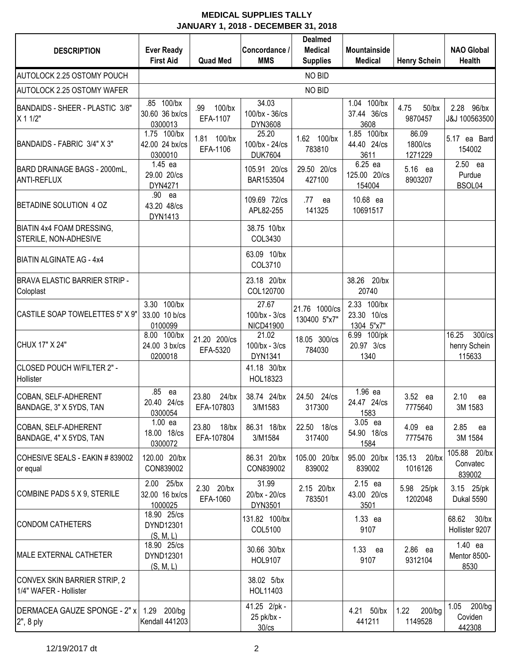| <b>DESCRIPTION</b>                                     | <b>Ever Ready</b>                        |                                 | Concordance /                                    | <b>Dealmed</b><br><b>Medical</b> | <b>Mountainside</b>                      |                               | <b>NAO Global</b>                            |
|--------------------------------------------------------|------------------------------------------|---------------------------------|--------------------------------------------------|----------------------------------|------------------------------------------|-------------------------------|----------------------------------------------|
|                                                        | <b>First Aid</b>                         | <b>Quad Med</b>                 | <b>MMS</b>                                       | <b>Supplies</b>                  | <b>Medical</b>                           | <b>Henry Schein</b>           | <b>Health</b>                                |
| AUTOLOCK 2.25 OSTOMY POUCH                             |                                          |                                 |                                                  | NO BID                           |                                          |                               |                                              |
| AUTOLOCK 2.25 OSTOMY WAFER                             |                                          |                                 |                                                  | NO BID                           |                                          |                               |                                              |
| BANDAIDS - SHEER - PLASTIC 3/8"<br>X 1 1/2"            | .85 100/bx<br>30.60 36 bx/cs<br>0300013  | .99<br>$100$ /bx<br>EFA-1107    | 34.03<br>100/bx - 36/cs<br>DYN3608               |                                  | 1.04 100/bx<br>37.44 36/cs<br>3608       | 4.75<br>$50$ /bx<br>9870457   | 2.28<br>96/bx<br>J&J 100563500               |
| BANDAIDS - FABRIC 3/4" X 3"                            | 1.75 100/bx<br>42.00 24 bx/cs<br>0300010 | 1.81<br>$100$ /bx<br>EFA-1106   | 25.20<br>100/bx - 24/cs<br><b>DUK7604</b>        | 1.62 100/bx<br>783810            | 1.85 100/bx<br>44.40 24/cs<br>3611       | 86.09<br>1800/cs<br>1271229   | 5.17<br>ea Bard<br>154002                    |
| BARD DRAINAGE BAGS - 2000mL,<br><b>ANTI-REFLUX</b>     | 1.45 ea<br>29.00 20/cs<br>DYN4271        |                                 | 105.91 20/cs<br>BAR153504                        | 29.50 20/cs<br>427100            | 6.25 ea<br>125.00 20/cs<br>154004        | 5.16 ea<br>8903207            | 2.50 ea<br>Purdue<br>BSOL04                  |
| BETADINE SOLUTION 4 OZ                                 | .90<br>ea<br>43.20 48/cs<br>DYN1413      |                                 | 109.69 72/cs<br>APL82-255                        | .77<br>ea<br>141325              | 10.68 ea<br>10691517                     |                               |                                              |
| BIATIN 4x4 FOAM DRESSING,<br>STERILE, NON-ADHESIVE     |                                          |                                 | 38.75 10/bx<br>COL3430                           |                                  |                                          |                               |                                              |
| <b>BIATIN ALGINATE AG - 4x4</b>                        |                                          |                                 | 63.09 10/bx<br>COL3710                           |                                  |                                          |                               |                                              |
| <b>BRAVA ELASTIC BARRIER STRIP -</b><br>Coloplast      |                                          |                                 | 23.18 20/bx<br>COL120700                         |                                  | 38.26<br>$20$ /bx<br>20740               |                               |                                              |
| CASTILE SOAP TOWELETTES 5" X 9"                        | 3.30 100/bx<br>33.00 10 b/cs<br>0100099  |                                 | 27.67<br>$100$ /bx - $3$ /cs<br><b>NICD41900</b> | 21.76 1000/cs<br>130400 5"x7"    | 2.33 100/bx<br>23.30 10/cs<br>1304 5"x7" |                               |                                              |
| CHUX 17" X 24"                                         | 8.00 100/bx<br>24.00 3 bx/cs<br>0200018  | 21.20 200/cs<br>EFA-5320        | 21.02<br>$100$ /bx - $3$ /cs<br>DYN1341          | 18.05 300/cs<br>784030           | 6.99 100/pk<br>20.97 3/cs<br>1340        |                               | $300$ /cs<br>16.25<br>henry Schein<br>115633 |
| CLOSED POUCH W/FILTER 2" -<br>Hollister                |                                          |                                 | 41.18 30/bx<br>HOL18323                          |                                  |                                          |                               |                                              |
| COBAN, SELF-ADHERENT<br>BANDAGE, 3" X 5YDS, TAN        | .85<br>ea<br>20.40 24/cs<br>0300054      | 23.80<br>$24$ /bx<br>EFA-107803 | 38.74 24/bx<br>3/M1583                           | 24.50 24/cs<br>317300            | 1.96 ea<br>24.47 24/cs<br>1583           | 3.52 ea<br>7775640            | 2.10<br>ea<br>3M 1583                        |
| COBAN, SELF-ADHERENT<br>BANDAGE, 4" X 5YDS, TAN        | $1.00$ ea<br>18.00 18/cs<br>0300072      | 23.80<br>$18$ /bx<br>EFA-107804 | 86.31 18/bx<br>3/M1584                           | 22.50 18/cs<br>317400            | 3.05 ea<br>54.90 18/cs<br>1584           | 4.09 ea<br>7775476            | 2.85<br>ea<br>3M 1584                        |
| COHESIVE SEALS - EAKIN # 839002<br>or equal            | 120.00 20/bx<br>CON839002                |                                 | 86.31 20/bx<br>CON839002                         | 105.00 20/bx<br>839002           | 95.00 20/bx<br>839002                    | $20$ /bx<br>135.13<br>1016126 | 105.88 20/bx<br>Convatec<br>839002           |
| COMBINE PADS 5 X 9, STERILE                            | 2.00 25/bx<br>32.00 16 bx/cs<br>1000025  | 2.30 20/bx<br>EFA-1060          | 31.99<br>20/bx - 20/cs<br>DYN3501                | 2.15 20/bx<br>783501             | 2.15 ea<br>43.00 20/cs<br>3501           | 5.98 25/pk<br>1202048         | 3.15 25/pk<br>Dukal 5590                     |
| <b>CONDOM CATHETERS</b>                                | 18.90 25/cs<br>DYND12301<br>(S, M, L)    |                                 | 131.82 100/bx<br>COL5100                         |                                  | 1.33 ea<br>9107                          |                               | $30$ /bx<br>68.62<br>Hollister 9207          |
| <b>MALE EXTERNAL CATHETER</b>                          | 18.90 25/cs<br>DYND12301<br>(S, M, L)    |                                 | 30.66 30/bx<br><b>HOL9107</b>                    |                                  | 1.33 ea<br>9107                          | 2.86 ea<br>9312104            | 1.40 ea<br>Mentor 8500-<br>8530              |
| CONVEX SKIN BARRIER STRIP, 2<br>1/4" WAFER - Hollister |                                          |                                 | 38.02 5/bx<br>HOL11403                           |                                  |                                          |                               |                                              |
| DERMACEA GAUZE SPONGE - 2" x<br>2", 8 ply              | 1.29 200/bg<br>Kendall 441203            |                                 | 41.25 2/pk -<br>25 pk/bx -<br>$30$ / $cs$        |                                  | 4.21 50/bx<br>441211                     | 200/bg<br>1.22<br>1149528     | 1.05<br>200/bg<br>Coviden<br>442308          |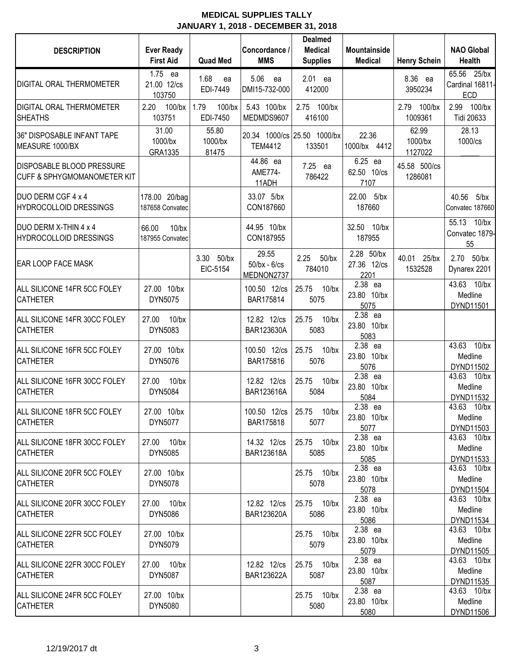| <b>DESCRIPTION</b>                                                  | <b>Ever Ready</b><br><b>First Aid</b> | <b>Quad Med</b>               | Concordance /<br><b>MMS</b>               | <b>Dealmed</b><br><b>Medical</b><br><b>Supplies</b> | Mountainside<br><b>Medical</b>    | <b>Henry Schein</b>         | <b>NAO Global</b><br><b>Health</b>        |
|---------------------------------------------------------------------|---------------------------------------|-------------------------------|-------------------------------------------|-----------------------------------------------------|-----------------------------------|-----------------------------|-------------------------------------------|
| DIGITAL ORAL THERMOMETER                                            | 1.75 ea<br>21.00 12/cs<br>103750      | 1.68<br>ea<br>EDI-7449        | 5.06<br>ea<br>DMI15-732-000               | 2.01 ea<br>412000                                   |                                   | 8.36 ea<br>3950234          | 65.56 25/bx<br>Cardinal 16811-<br>ECD     |
| <b>DIGITAL ORAL THERMOMETER</b><br><b>SHEATHS</b>                   | $100$ /bx<br>2.20<br>103751           | 1.79<br>$100$ /bx<br>EDI-7450 | 5.43 100/bx<br>MEDMDS9607                 | 2.75 100/bx<br>416100                               |                                   | 2.79 100/bx<br>1009361      | 2.99<br>100/bx<br>Tidi 20633              |
| 36" DISPOSABLE INFANT TAPE<br>MEASURE 1000/BX                       | 31.00<br>1000/bx<br>GRA1335           | 55.80<br>1000/bx<br>81475     | <b>TEM4412</b>                            | 20.34 1000/cs 25.50 1000/bx<br>133501               | 22.36<br>1000/bx 4412             | 62.99<br>1000/bx<br>1127022 | 28.13<br>1000/cs                          |
| DISPOSABLE BLOOD PRESSURE<br><b>CUFF &amp; SPHYGMOMANOMETER KIT</b> |                                       |                               | 44.86 ea<br>AME774-<br>11ADH              | 7.25 ea<br>786422                                   | 6.25 ea<br>62.50 10/cs<br>7107    | 45.58 500/cs<br>1286081     |                                           |
| DUO DERM CGF 4 x 4<br>HYDROCOLLOID DRESSINGS                        | 178.00 20/bag<br>187658 Convatec      |                               | 33.07 5/bx<br>CON187660                   |                                                     | 22.00 5/bx<br>187660              |                             | 40.56<br>5/bx<br>Convatec 187660          |
| DUO DERM X-THIN 4 x 4<br><b>HYDROCOLLOID DRESSINGS</b>              | 66.00<br>$10$ /bx<br>187955 Convatec  |                               | 44.95 10/bx<br>CON187955                  |                                                     | 32.50 10/bx<br>187955             |                             | 55.13 10/bx<br>Convatec 1879-<br>55       |
| EAR LOOP FACE MASK                                                  |                                       | 3.30<br>$50$ /bx<br>EIC-5154  | 29.55<br>$50$ /bx - $6$ /cs<br>MEDNON2737 | 2.25<br>$50$ /bx<br>784010                          | 2.28 50/bx<br>27.36 12/cs<br>2201 | 40.01 25/bx<br>1532528      | 2.70 50/bx<br>Dynarex 2201                |
| ALL SILICONE 14FR 5CC FOLEY<br><b>CATHETER</b>                      | 27.00 10/bx<br>DYN5075                |                               | 100.50 12/cs<br>BAR175814                 | 25.75<br>$10$ /bx<br>5075                           | 2.38 ea<br>23.80 10/bx<br>5075    |                             | 43.63 10/bx<br>Medline<br>DYND11501       |
| ALL SILICONE 14FR 30CC FOLEY<br><b>CATHETER</b>                     | $10$ /bx<br>27.00<br>DYN5083          |                               | 12.82 12/cs<br>BAR123630A                 | $10$ /bx<br>25.75<br>5083                           | 2.38 ea<br>23.80 10/bx<br>5083    |                             |                                           |
| ALL SILICONE 16FR 5CC FOLEY<br><b>CATHETER</b>                      | 27.00 10/bx<br>DYN5076                |                               | 100.50 12/cs<br>BAR175816                 | 25.75<br>$10$ /bx<br>5076                           | 2.38 ea<br>23.80 10/bx<br>5076    |                             | 43.63<br>$10$ /bx<br>Medline<br>DYND11502 |
| ALL SILICONE 16FR 30CC FOLEY<br><b>CATHETER</b>                     | 27.00<br>$10$ /bx<br>DYN5084          |                               | 12.82 12/cs<br>BAR123616A                 | 25.75<br>$10$ /bx<br>5084                           | 2.38 ea<br>23.80 10/bx<br>5084    |                             | 43.63<br>$10$ /bx<br>Medline<br>DYND11532 |
| ALL SILICONE 18FR 5CC FOLEY<br><b>CATHETER</b>                      | 27.00 10/bx<br>DYN5077                |                               | 100.50 12/cs<br>BAR175818                 | 25.75 10/bx<br>5077                                 | 2.38 ea<br>23.80 10/bx<br>5077    |                             | 43.63<br>$10$ /bx<br>Medline<br>DYND11503 |
| ALL SILICONE 18FR 30CC FOLEY<br><b>CATHETER</b>                     | 27.00 10/bx<br>DYN5085                |                               | 14.32 12/cs<br>BAR123618A                 | 25.75 10/bx<br>5085                                 | 2.38 ea<br>23.80 10/bx<br>5085    |                             | 43.63 10/bx<br>Medline<br>DYND11533       |
| ALL SILICONE 20FR 5CC FOLEY<br><b>CATHETER</b>                      | 27.00 10/bx<br>DYN5078                |                               |                                           | 25.75 10/bx<br>5078                                 | 2.38 ea<br>23.80 10/bx<br>5078    |                             | 43.63 10/bx<br>Medline<br>DYND11504       |
| ALL SILICONE 20FR 30CC FOLEY<br><b>CATHETER</b>                     | 27.00 10/bx<br>DYN5086                |                               | 12.82 12/cs<br>BAR123620A                 | 25.75 10/bx<br>5086                                 | 2.38 ea<br>23.80 10/bx<br>5086    |                             | 43.63 10/bx<br>Medline<br>DYND11534       |
| ALL SILICONE 22FR 5CC FOLEY<br><b>CATHETER</b>                      | 27.00 10/bx<br>DYN5079                |                               |                                           | 25.75 10/bx<br>5079                                 | 2.38 ea<br>23.80 10/bx<br>5079    |                             | 43.63 10/bx<br>Medline<br>DYND11505       |
| ALL SILICONE 22FR 30CC FOLEY<br><b>CATHETER</b>                     | 27.00 10/bx<br>DYN5087                |                               | 12.82 12/cs<br>BAR123622A                 | 25.75 10/bx<br>5087                                 | 2.38 ea<br>23.80 10/bx<br>5087    |                             | 43.63 10/bx<br>Medline<br>DYND11535       |
| ALL SILICONE 24FR 5CC FOLEY<br><b>CATHETER</b>                      | 27.00 10/bx<br>DYN5080                |                               |                                           | 25.75 10/bx<br>5080                                 | 2.38 ea<br>23.80 10/bx<br>5080    |                             | 43.63 10/bx<br>Medline<br>DYND11506       |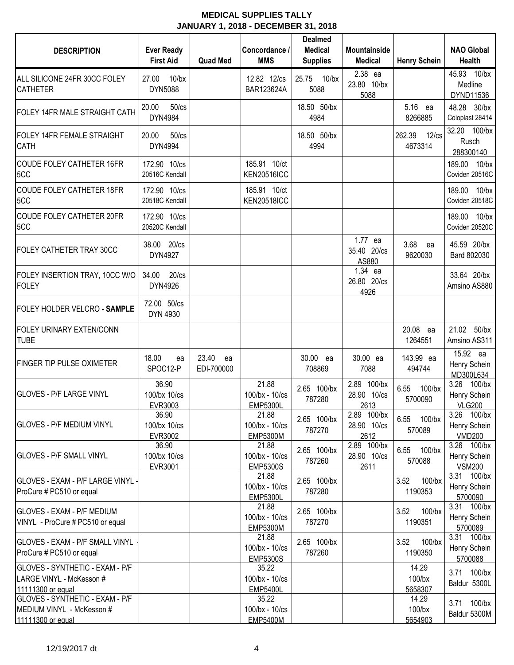| <b>DESCRIPTION</b>                                                                | <b>Ever Ready</b><br><b>First Aid</b> | <b>Quad Med</b>           | Concordance /<br><b>MMS</b>                | <b>Dealmed</b><br><b>Medical</b><br><b>Supplies</b> | <b>Mountainside</b><br><b>Medical</b> | <b>Henry Schein</b>              | <b>NAO Global</b><br>Health                  |
|-----------------------------------------------------------------------------------|---------------------------------------|---------------------------|--------------------------------------------|-----------------------------------------------------|---------------------------------------|----------------------------------|----------------------------------------------|
| ALL SILICONE 24FR 30CC FOLEY<br><b>CATHETER</b>                                   | 27.00<br>$10$ /bx<br><b>DYN5088</b>   |                           | 12.82 12/cs<br>BAR123624A                  | 25.75<br>$10$ /bx<br>5088                           | 2.38 ea<br>23.80 10/bx<br>5088        |                                  | 45.93 10/bx<br>Medline<br>DYND11536          |
| FOLEY 14FR MALE STRAIGHT CATH                                                     | 20.00<br>$50$ / $cs$<br>DYN4984       |                           |                                            | 18.50 50/bx<br>4984                                 |                                       | 5.16<br>ea<br>8266885            | 48.28<br>$30$ /bx<br>Coloplast 28414         |
| <b>FOLEY 14FR FEMALE STRAIGHT</b><br><b>CATH</b>                                  | 20.00<br>$50$ / $cs$<br>DYN4994       |                           |                                            | 18.50 50/bx<br>4994                                 |                                       | 262.39<br>$12$ / $cs$<br>4673314 | 32.20 100/bx<br>Rusch<br>288300140           |
| <b>COUDE FOLEY CATHETER 16FR</b><br>5CC                                           | 172.90 10/cs<br>20516C Kendall        |                           | 185.91 10/ct<br><b>KEN20516ICC</b>         |                                                     |                                       |                                  | 189.00<br>$10$ /bx<br>Coviden 20516C         |
| <b>COUDE FOLEY CATHETER 18FR</b><br>5CC                                           | 172.90 10/cs<br>20518C Kendall        |                           | 185.91 10/ct<br><b>KEN20518ICC</b>         |                                                     |                                       |                                  | $10$ /bx<br>189.00<br>Coviden 20518C         |
| <b>COUDE FOLEY CATHETER 20FR</b><br>5CC                                           | 172.90 10/cs<br>20520C Kendall        |                           |                                            |                                                     |                                       |                                  | $10$ /bx<br>189.00<br>Coviden 20520C         |
| FOLEY CATHETER TRAY 30CC                                                          | 38.00 20/cs<br>DYN4927                |                           |                                            |                                                     | 1.77 ea<br>35.40 20/cs<br>AS880       | 3.68<br>ea<br>9620030            | 45.59 20/bx<br>Bard 802030                   |
| FOLEY INSERTION TRAY, 10CC W/O<br><b>FOLEY</b>                                    | 34.00<br>$20$ / $cs$<br>DYN4926       |                           |                                            |                                                     | 1.34 ea<br>26.80 20/cs<br>4926        |                                  | 33.64 20/bx<br>Amsino AS880                  |
| FOLEY HOLDER VELCRO - SAMPLE                                                      | 72.00 50/cs<br>DYN 4930               |                           |                                            |                                                     |                                       |                                  |                                              |
| FOLEY URINARY EXTEN/CONN<br><b>TUBE</b>                                           |                                       |                           |                                            |                                                     |                                       | 20.08 ea<br>1264551              | 21.02 50/bx<br>Amsino AS311                  |
| <b>FINGER TIP PULSE OXIMETER</b>                                                  | 18.00<br>ea<br>SPOC12-P               | 23.40<br>ea<br>EDI-700000 |                                            | 30.00 ea<br>708869                                  | 30.00 ea<br>7088                      | 143.99 ea<br>494744              | 15.92 ea<br>Henry Schein<br>MD300L634        |
| <b>GLOVES - P/F LARGE VINYL</b>                                                   | 36.90<br>100/bx 10/cs<br>EVR3003      |                           | 21.88<br>100/bx - 10/cs<br><b>EMP5300L</b> | 2.65 100/bx<br>787280                               | 2.89 100/bx<br>28.90 10/cs<br>2613    | 6.55<br>$100$ /bx<br>5700090     | 3.26 100/bx<br>Henry Schein<br><b>VLG200</b> |
| <b>GLOVES - P/F MEDIUM VINYL</b>                                                  | 36.90<br>100/bx 10/cs<br>EVR3002      |                           | 21.88<br>100/bx - 10/cs<br><b>EMP5300M</b> | 2.65 100/bx<br>787270                               | 2.89 100/bx<br>28.90 10/cs<br>2612    | 6.55 100/bx<br>570089            | 3.26 100/bx<br>Henry Schein<br><b>VMD200</b> |
| <b>GLOVES - P/F SMALL VINYL</b>                                                   | 36.90<br>100/bx 10/cs<br>EVR3001      |                           | 21.88<br>100/bx - 10/cs<br><b>EMP5300S</b> | 2.65 100/bx<br>787260                               | 2.89 100/bx<br>28.90 10/cs<br>2611    | 6.55<br>$100$ /bx<br>570088      | 3.26 100/bx<br>Henry Schein<br><b>VSM200</b> |
| GLOVES - EXAM - P/F LARGE VINYL -<br>ProCure # PC510 or equal                     |                                       |                           | 21.88<br>100/bx - 10/cs<br><b>EMP5300L</b> | 2.65 100/bx<br>787280                               |                                       | $100$ /bx<br>3.52<br>1190353     | 3.31 100/bx<br>Henry Schein<br>5700090       |
| <b>GLOVES - EXAM - P/F MEDIUM</b><br>VINYL - ProCure # PC510 or equal             |                                       |                           | 21.88<br>100/bx - 10/cs<br><b>EMP5300M</b> | 2.65 100/bx<br>787270                               |                                       | $100$ /bx<br>3.52<br>1190351     | 3.31 100/bx<br>Henry Schein<br>5700089       |
| <b>GLOVES - EXAM - P/F SMALL VINYL</b><br>ProCure # PC510 or equal                |                                       |                           | 21.88<br>100/bx - 10/cs<br><b>EMP5300S</b> | 2.65 100/bx<br>787260                               |                                       | 3.52<br>$100$ /bx<br>1190350     | 3.31 100/bx<br>Henry Schein<br>5700088       |
| GLOVES - SYNTHETIC - EXAM - P/F<br>LARGE VINYL - McKesson #<br>11111300 or equal  |                                       |                           | 35.22<br>100/bx - 10/cs<br><b>EMP5400L</b> |                                                     |                                       | 14.29<br>$100$ /bx<br>5658307    | 3.71 100/bx<br>Baldur 5300L                  |
| GLOVES - SYNTHETIC - EXAM - P/F<br>MEDIUM VINYL - McKesson #<br>11111300 or equal |                                       |                           | 35.22<br>100/bx - 10/cs<br><b>EMP5400M</b> |                                                     |                                       | 14.29<br>$100$ /bx<br>5654903    | 3.71 100/bx<br>Baldur 5300M                  |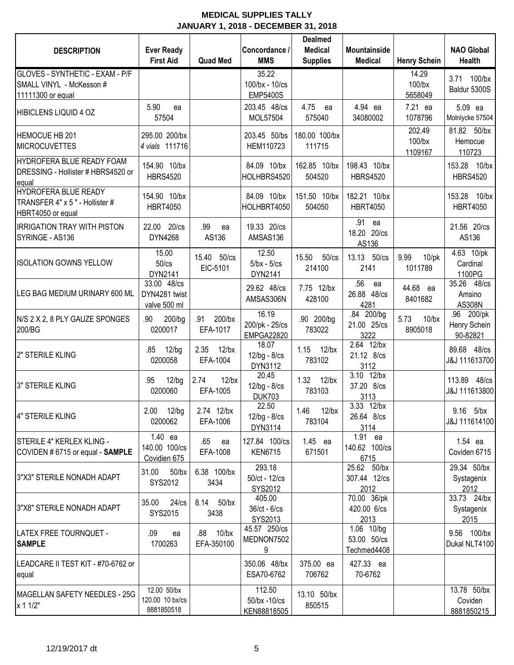| <b>DESCRIPTION</b>                                                                 | <b>Ever Ready</b>                            |                               | Concordance /                                | <b>Dealmed</b><br><b>Medical</b> | <b>Mountainside</b>                      |                                | <b>NAO Global</b>                      |
|------------------------------------------------------------------------------------|----------------------------------------------|-------------------------------|----------------------------------------------|----------------------------------|------------------------------------------|--------------------------------|----------------------------------------|
|                                                                                    | <b>First Aid</b>                             | <b>Quad Med</b>               | <b>MMS</b>                                   | <b>Supplies</b>                  | <b>Medical</b>                           | <b>Henry Schein</b>            | <b>Health</b>                          |
| GLOVES - SYNTHETIC - EXAM - P/F<br>SMALL VINYL - McKesson #<br>11111300 or equal   |                                              |                               | 35.22<br>100/bx - 10/cs<br><b>EMP5400S</b>   |                                  |                                          | 14.29<br>$100$ /bx<br>5658049  | $100$ /bx<br>3.71<br>Baldur 5300S      |
| <b>HIBICLENS LIQUID 4 OZ</b>                                                       | 5.90<br>ea<br>57504                          |                               | 203.45 48/cs<br>MOL57504                     | 4.75<br>ea<br>575040             | 4.94 ea<br>34080002                      | 7.21 ea<br>1078796             | 5.09 ea<br>Molnlycke 57504             |
| <b>HEMOCUE HB 201</b><br><b>MICROCUVETTES</b>                                      | 295.00 200/bx<br>4 vials 111716              |                               | 203.45 50/bs<br>HEM110723                    | 180.00 100/bx<br>111715          |                                          | 202.49<br>$100$ /bx<br>1109167 | 81.82 50/bx<br>Hemocue<br>110723       |
| HYDROFERA BLUE READY FOAM<br>DRESSING - Hollister # HBRS4520 or<br>equal           | 154.90 10/bx<br><b>HBRS4520</b>              |                               | 84.09 10/bx<br>HOLHBRS4520                   | 162.85 10/bx<br>504520           | 198.43 10/bx<br><b>HBRS4520</b>          |                                | 153.28 10/bx<br><b>HBRS4520</b>        |
| <b>HYDROFERA BLUE READY</b><br>TRANSFER 4" x 5" - Hollister #<br>HBRT4050 or equal | 154.90 10/bx<br><b>HBRT4050</b>              |                               | 84.09 10/bx<br>HOLHBRT4050                   | 151.50 10/bx<br>504050           | 182.21 10/bx<br><b>HBRT4050</b>          |                                | 153.28 10/bx<br><b>HBRT4050</b>        |
| <b>IRRIGATION TRAY WITH PISTON</b><br>SYRINGE - AS136                              | 22.00 20/cs<br>DYN4268                       | .99<br>ea<br>AS136            | 19.33 20/cs<br>AMSAS136                      |                                  | .91<br>ea<br>18.20 20/cs<br>AS136        |                                | 21.56 20/cs<br>AS136                   |
| <b>ISOLATION GOWNS YELLOW</b>                                                      | 15.00<br>50/cs<br>DYN2141                    | 15.40 50/cs<br>EIC-5101       | 12.50<br>$5/bx - 5/cs$<br>DYN2141            | 15.50<br>$50$ / $cs$<br>214100   | 13.13 50/cs<br>2141                      | 9.99<br>$10$ /pk<br>1011789    | 4.63 10/pk<br>Cardinal<br>1100PG       |
| LEG BAG MEDIUM URINARY 600 ML                                                      | 33.00 48/cs<br>DYN4281 twist<br>valve 500 ml |                               | 29.62 48/cs<br>AMSAS306N                     | 7.75 12/bx<br>428100             | .56<br>ea<br>26.88 48/cs<br>4281         | 44.68 ea<br>8401682            | 35.26 48/cs<br>Amsino<br>AS308N        |
| N/S 2 X 2, 8 PLY GAUZE SPONGES<br>200/BG                                           | 200/bg<br>.90<br>0200017                     | 200/bx<br>.91<br>EFA-1017     | 16.19<br>200/pk - 25/cs<br><b>EMPGA22820</b> | .90 200/bg<br>783022             | .84 200/bg<br>21.00 25/cs<br>3222        | 5.73<br>$10$ /bx<br>8905018    | .96 200/pk<br>Henry Schein<br>90-82821 |
| 2" STERILE KLING                                                                   | .85<br>12/bg<br>0200058                      | 2.35<br>$12$ /bx<br>EFA-1004  | 18.07<br>12/bg - 8/cs<br>DYN3112             | 1.15<br>$12$ /bx<br>783102       | 2.64 12/bx<br>21.12 8/cs<br>3112         |                                | 89.68 48/cs<br>J&J 111613700           |
| 3" STERILE KLING                                                                   | $12$ /bg<br>.95<br>0200060                   | 2.74<br>$12$ /bx<br>EFA-1005  | 20.45<br>$12/bg - 8/cs$<br><b>DUK703</b>     | 1.32<br>$12$ /bx<br>783103       | 3.10 12/bx<br>37.20 8/cs<br>3113         |                                | 113.89 48/cs<br>J&J 111613800          |
| 4" STERILE KLING                                                                   | 2.00 12/bg<br>0200062                        | 2.74 12/bx<br>EFA-1006        | 22.50<br>12/bg - 8/cs<br>DYN3114             | 1.46 12/bx<br>783104             | 3.33 12/bx<br>26.64 8/cs<br>3114         |                                | 9.16 5/bx<br>J&J 111614100             |
| STERILE 4" KERLEX KLING -<br>COVIDEN #6715 or equal - SAMPLE                       | 1.40 ea<br>140.00 100/cs<br>Covidien 675     | .65<br>ea<br>EFA-1008         | 127.84 100/cs<br><b>KEN6715</b>              | 1.45 ea<br>671501                | 1.91 ea<br>140.62 100/cs<br>6715         |                                | 1.54 ea<br>Coviden 6715                |
| 3"X3" STERILE NONADH ADAPT                                                         | 31.00<br>$50$ /bx<br>SYS2012                 | 6.38 100/bx<br>3434           | 293.18<br>50/ct - 12/cs<br>SYS2012           |                                  | 25.62 50/bx<br>307.44 12/cs<br>2012      |                                | 29.34 50/bx<br>Systagenix<br>2012      |
| 3"X8" STERILE NONADH ADAPT                                                         | 35.00<br>$24$ / $cs$<br>SYS2015              | 8.14 50/bx<br>3438            | 405.00<br>36/ct - 6/cs<br>SYS2013            |                                  | 70.00 36/pk<br>420.00 6/cs<br>2013       |                                | 33.73 24/bx<br>Systagenix<br>2015      |
| LATEX FREE TOURNQUET -<br><b>SAMPLE</b>                                            | .09<br>ea<br>1700263                         | $10$ /bx<br>.88<br>EFA-350100 | 45.57 250/cs<br>MEDNON7502<br>9              |                                  | 1.06 10/bg<br>53.00 50/cs<br>Techmed4408 |                                | 9.56 100/bx<br>Dukal NLT4100           |
| LEADCARE II TEST KIT - #70-6762 or<br>equal                                        |                                              |                               | 350.06 48/bx<br>ESA70-6762                   | 375.00 ea<br>706762              | 427.33 ea<br>70-6762                     |                                |                                        |
| MAGELLAN SAFETY NEEDLES - 25G<br>x 1 1/2"                                          | 12.00 50/bx<br>120.00 10 bx/cs<br>8881850518 |                               | 112.50<br>50/bx -10/cs<br>KEN88818505        | 13.10 50/bx<br>850515            |                                          |                                | 13.78 50/bx<br>Coviden<br>8881850215   |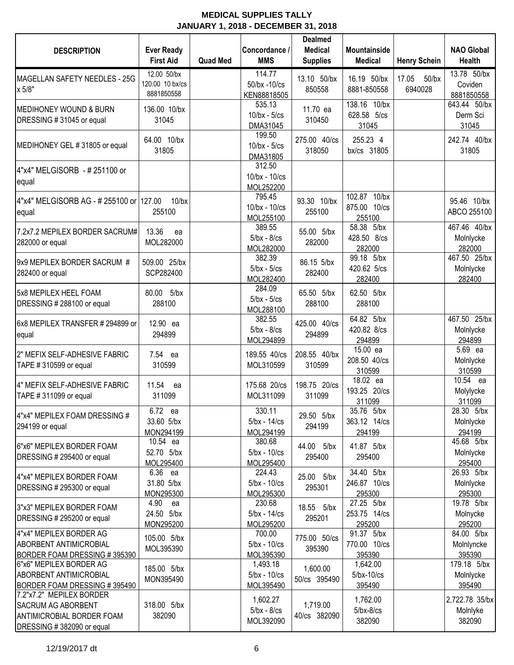| <b>DESCRIPTION</b>                                                                                                     | <b>Ever Ready</b><br><b>First Aid</b>        | <b>Quad Med</b> | Concordance /<br><b>MMS</b>              | <b>Dealmed</b><br><b>Medical</b><br><b>Supplies</b> | <b>Mountainside</b><br><b>Medical</b>  | <b>Henry Schein</b>          | <b>NAO Global</b><br><b>Health</b>   |
|------------------------------------------------------------------------------------------------------------------------|----------------------------------------------|-----------------|------------------------------------------|-----------------------------------------------------|----------------------------------------|------------------------------|--------------------------------------|
| MAGELLAN SAFETY NEEDLES - 25G<br>x 5/8"                                                                                | 12.00 50/bx<br>120.00 10 bx/cs<br>8881850558 |                 | 114.77<br>50/bx -10/cs<br>KEN88818505    | 13.10 50/bx<br>850558                               | 16.19 50/bx<br>8881-850558             | 17.05<br>$50$ /bx<br>6940028 | 13.78 50/bx<br>Coviden<br>8881850558 |
| <b>MEDIHONEY WOUND &amp; BURN</b><br>DRESSING #31045 or equal                                                          | 136.00 10/bx<br>31045                        |                 | 535.13<br>$10$ /bx - $5$ /cs<br>DMA31045 | 11.70 ea<br>310450                                  | 138.16 10/bx<br>628.58 5/cs<br>31045   |                              | 643.44 50/bx<br>Derm Sci<br>31045    |
| MEDIHONEY GEL #31805 or equal                                                                                          | 64.00 10/bx<br>31805                         |                 | 199.50<br>$10$ /bx - $5$ /cs<br>DMA31805 | 275.00 40/cs<br>318050                              | 255.23 4<br>bx/cs 31805                |                              | 242.74 40/bx<br>31805                |
| 4"x4" MELGISORB - # 251100 or<br>equal                                                                                 |                                              |                 | 312.50<br>10/bx - 10/cs<br>MOL252200     |                                                     |                                        |                              |                                      |
| 4"x4" MELGISORB AG - # 255100 or   127.00<br>equal                                                                     | $10$ /bx<br>255100                           |                 | 795.45<br>10/bx - 10/cs<br>MOL255100     | 93.30 10/bx<br>255100                               | 102.87 10/bx<br>875.00 10/cs<br>255100 |                              | 95.46 10/bx<br>ABCO 255100           |
| 7.2x7.2 MEPILEX BORDER SACRUM#<br>282000 or equal                                                                      | 13.36<br>ea<br>MOL282000                     |                 | 389.55<br>$5/bx - 8/cs$<br>MOL282000     | 55.00 5/bx<br>282000                                | 58.38 5/bx<br>428.50 8/cs<br>282000    |                              | 467.46 40/bx<br>Molnlycke<br>282000  |
| 9x9 MEPILEX BORDER SACRUM #<br>282400 or equal                                                                         | 509.00 25/bx<br>SCP282400                    |                 | 382.39<br>$5/bx - 5/cs$<br>MOL282400     | 86.15 5/bx<br>282400                                | 99.18 5/bx<br>420.62 5/cs<br>282400    |                              | 467.50 25/bx<br>Molnlycke<br>282400  |
| 5x8 MEPILEX HEEL FOAM<br>DRESSING # 288100 or equal                                                                    | 80.00 5/bx<br>288100                         |                 | 284.09<br>$5/bx - 5/cs$<br>MOL288100     | 65.50 5/bx<br>288100                                | 62.50 5/bx<br>288100                   |                              |                                      |
| 6x8 MEPILEX TRANSFER # 294899 or<br>equal                                                                              | 12.90 ea<br>294899                           |                 | 382.55<br>$5/bx - 8/cs$<br>MOL294899     | 425.00 40/cs<br>294899                              | 64.82 5/bx<br>420.82 8/cs<br>294899    |                              | 467.50 25/bx<br>Molnlycke<br>294899  |
| 2" MEFIX SELF-ADHESIVE FABRIC<br>TAPE #310599 or equal                                                                 | 7.54 ea<br>310599                            |                 | 189.55 40/cs<br>MOL310599                | 208.55 40/bx<br>310599                              | 15.00 ea<br>208.50 40/cs<br>310599     |                              | 5.69 ea<br>Molnlycke<br>310599       |
| 4" MEFIX SELF-ADHESIVE FABRIC<br>TAPE #311099 or equal                                                                 | 11.54<br>ea<br>311099                        |                 | 175.68 20/cs<br>MOL311099                | 198.75 20/cs<br>311099                              | 18.02 ea<br>193.25 20/cs<br>311099     |                              | 10.54 ea<br>Molylycke<br>311099      |
| 4"x4" MEPILEX FOAM DRESSING #<br>294199 or equal                                                                       | 6.72 ea<br>33.60 5/bx<br>MON294199           |                 | 330.11<br>$5/bx - 14/cs$<br>MOL294199    | 29.50 5/bx<br>294199                                | 35.76 5/bx<br>363.12 14/cs<br>294199   |                              | 28.30 5/bx<br>Molnlycke<br>294199    |
| 6"x6" MEPILEX BORDER FOAM<br>DRESSING # 295400 or equal                                                                | 10.54 ea<br>52.70 5/bx<br>MOL295400          |                 | 380.68<br>$5/bx - 10/cs$<br>MOL295400    | 44.00 5/bx<br>295400                                | 41.87 5/bx<br>295400                   |                              | 45.68 5/bx<br>Molnlycke<br>295400    |
| 4"x4" MEPILEX BORDER FOAM<br>DRESSING # 295300 or equal                                                                | 6.36 ea<br>31.80 5/bx<br>MON295300           |                 | 224.43<br>$5/bx - 10/cs$<br>MOL295300    | 25.00 5/bx<br>295301                                | 34.40 5/bx<br>246.87 10/cs<br>295300   |                              | 26.93 5/bx<br>Molnlycke<br>295300    |
| 3"x3" MEPILEX BORDER FOAM<br>DRESSING # 295200 or equal                                                                | 4.90<br>ea<br>24.50 5/bx<br>MON295200        |                 | 230.68<br>$5/bx - 14/cs$<br>MOL295200    | 18.55 5/bx<br>295201                                | 27.25 5/bx<br>253.75 14/cs<br>295200   |                              | 19.78 5/bx<br>Molnycke<br>295200     |
| 4"x4" MEPILEX BORDER AG<br>ABORBENT ANTIMICROBIAL<br>BORDER FOAM DRESSING #395390                                      | 105.00 5/bx<br>MOL395390                     |                 | 700.00<br>$5/bx - 10/cs$<br>MOL395390    | 775.00 50/cs<br>395390                              | 91.37 5/bx<br>770.00 10/cs<br>395390   |                              | 84.00 5/bx<br>Molnlyncke<br>395390   |
| 6"x6" MEPILEX BORDER AG<br>ABORBENT ANTIMICROBIAL<br>BORDER FOAM DRESSING #395490                                      | 185.00 5/bx<br>MON395490                     |                 | 1,493.18<br>$5/bx - 10/cs$<br>MOL395490  | 1,600.00<br>50/cs 395490                            | 1,642.00<br>$5$ /bx-10/cs<br>395490    |                              | 179.18 5/bx<br>Molnlycke<br>395490   |
| 7.2"x7.2" MEPILEX BORDER<br><b>SACRUM AG ABORBENT</b><br><b>ANTIMICROBIAL BORDER FOAM</b><br>DRESSING #382090 or equal | 318.00 5/bx<br>382090                        |                 | 1,602.27<br>$5/bx - 8/cs$<br>MOL392090   | 1,719.00<br>40/cs 382090                            | 1,762.00<br>$5/bx-8/cs$<br>382090      |                              | 2,722.78 35/bx<br>Molnlyke<br>382090 |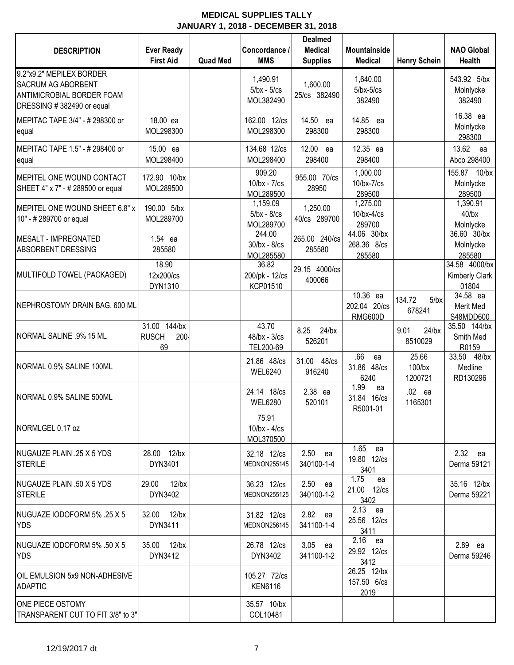| <b>DESCRIPTION</b>                                                                                              | <b>Ever Ready</b><br><b>First Aid</b>         | <b>Quad Med</b> | Concordance /<br><b>MMS</b>               | <b>Dealmed</b><br><b>Medical</b><br><b>Supplies</b> | <b>Mountainside</b><br><b>Medical</b>          | <b>Henry Schein</b>           | <b>NAO Global</b><br><b>Health</b>       |
|-----------------------------------------------------------------------------------------------------------------|-----------------------------------------------|-----------------|-------------------------------------------|-----------------------------------------------------|------------------------------------------------|-------------------------------|------------------------------------------|
| 9.2"x9.2" MEPILEX BORDER<br><b>SACRUM AG ABORBENT</b><br>ANTIMICROBIAL BORDER FOAM<br>DRESSING #382490 or equal |                                               |                 | 1,490.91<br>$5/bx - 5/cs$<br>MOL382490    | 1,600.00<br>25/cs 382490                            | 1,640.00<br>$5$ /bx- $5$ /cs<br>382490         |                               | 543.92 5/bx<br>Molnlycke<br>382490       |
| MEPITAC TAPE 3/4" - # 298300 or<br>equal                                                                        | 18.00 ea<br>MOL298300                         |                 | 162.00 12/cs<br>MOL298300                 | 14.50 ea<br>298300                                  | 14.85 ea<br>298300                             |                               | 16.38 ea<br>Molnlycke<br>298300          |
| MEPITAC TAPE 1.5" - # 298400 or<br>equal                                                                        | 15.00 ea<br>MOL298400                         |                 | 134.68 12/cs<br>MOL298400                 | 12.00 ea<br>298400                                  | 12.35 ea<br>298400                             |                               | 13.62 ea<br>Abco 298400                  |
| MEPITEL ONE WOUND CONTACT<br>SHEET 4" x 7" - # 289500 or equal                                                  | 172.90 10/bx<br>MOL289500                     |                 | 909.20<br>$10$ /bx - $7$ /cs<br>MOL289500 | 955.00 70/cs<br>28950                               | 1,000.00<br>$10$ /bx- $7$ /cs<br>289500        |                               | 155.87 10/bx<br>Molnlycke<br>289500      |
| MEPITEL ONE WOUND SHEET 6.8" x<br>10" - # 289700 or equal                                                       | 190.00 5/bx<br>MOL289700                      |                 | 1,159.09<br>$5/bx - 8/cs$<br>MOL289700    | 1,250.00<br>40/cs 289700                            | 1,275.00<br>$10$ /bx- $4$ /cs<br>289700        |                               | 1,390.91<br>$40$ /bx<br>Molnlycke        |
| MESALT - IMPREGNATED<br><b>ABSORBENT DRESSING</b>                                                               | 1.54 ea<br>285580                             |                 | 244.00<br>$30$ /bx - $8$ /cs<br>MOL285580 | 265.00 240/cs<br>285580                             | 44.06 30/bx<br>268.36 8/cs<br>285580           |                               | 36.60 30/bx<br>Molnlycke<br>285580       |
| MULTIFOLD TOWEL (PACKAGED)                                                                                      | 18.90<br>12x200/cs<br>DYN1310                 |                 | 36.82<br>200/pk - 12/cs<br>KCP01510       | 29.15 4000/cs<br>400066                             |                                                |                               | 34.58 4000/bx<br>Kimberly Clark<br>01804 |
| NEPHROSTOMY DRAIN BAG, 600 ML                                                                                   |                                               |                 |                                           |                                                     | 10.36 ea<br>202.04 20/cs<br>RMG600D            | 134.72<br>5/bx<br>678241      | 34.58 ea<br>Merit Med<br>S48MDD600       |
| NORMAL SALINE .9% 15 ML                                                                                         | 31.00 144/bx<br><b>RUSCH</b><br>$200 -$<br>69 |                 | 43.70<br>$48$ /bx - $3$ /cs<br>TEL200-69  | 8.25<br>$24$ /bx<br>526201                          |                                                | $24$ /bx<br>9.01<br>8510029   | 35.50 144/bx<br>Smith Med<br>R0159       |
| NORMAL 0.9% SALINE 100ML                                                                                        |                                               |                 | 21.86 48/cs<br><b>WEL6240</b>             | 31.00 48/cs<br>916240                               | .66<br>ea<br>31.86<br>$48$ / $cs$<br>6240      | 25.66<br>$100$ /bx<br>1200721 | 33.50<br>$48$ /bx<br>Medline<br>RD130296 |
| NORMAL 0.9% SALINE 500ML                                                                                        |                                               |                 | 24.14 18/cs<br><b>WEL6280</b>             | 2.38 ea<br>520101                                   | 1.99<br>ea<br>31.84<br>$16$ / $cs$<br>R5001-01 | .02 ea<br>1165301             |                                          |
| NORMLGEL 0.17 oz                                                                                                |                                               |                 | 75.91<br>$10$ /bx - $4$ /cs<br>MOL370500  |                                                     |                                                |                               |                                          |
| NUGAUZE PLAIN .25 X 5 YDS<br><b>STERILE</b>                                                                     | 28.00 12/bx<br>DYN3401                        |                 | 32.18 12/cs<br>MEDNON255145               | 2.50 ea<br>340100-1-4                               | 1.65 ea<br>19.80 12/cs<br>3401                 |                               | 2.32 ea<br>Derma 59121                   |
| NUGAUZE PLAIN .50 X 5 YDS<br><b>STERILE</b>                                                                     | $12$ /bx<br>29.00<br>DYN3402                  |                 | 36.23 12/cs<br>MEDNON255125               | 2.50 ea<br>340100-1-2                               | 1.75<br>ea<br>21.00 12/cs<br>3402              |                               | 35.16 12/bx<br>Derma 59221               |
| <b>INUGUAZE IODOFORM 5% .25 X 5</b><br><b>YDS</b>                                                               | 32.00 12/bx<br>DYN3411                        |                 | 31.82 12/cs<br>MEDNON256145               | 2.82 ea<br>341100-1-4                               | 2.13 ea<br>25.56 12/cs<br>3411                 |                               |                                          |
| NUGUAZE IODOFORM 5% .50 X 5<br><b>YDS</b>                                                                       | 35.00 12/bx<br>DYN3412                        |                 | 26.78 12/cs<br>DYN3402                    | 3.05 ea<br>341100-1-2                               | $2.16$ ea<br>29.92 12/cs<br>3412               |                               | 2.89 ea<br>Derma 59246                   |
| OIL EMULSION 5x9 NON-ADHESIVE<br><b>ADAPTIC</b>                                                                 |                                               |                 | 105.27 72/cs<br><b>KEN6116</b>            |                                                     | 26.25 12/bx<br>157.50 6/cs<br>2019             |                               |                                          |
| ONE PIECE OSTOMY<br>TRANSPARENT CUT TO FIT 3/8" to 3"                                                           |                                               |                 | 35.57 10/bx<br>COL10481                   |                                                     |                                                |                               |                                          |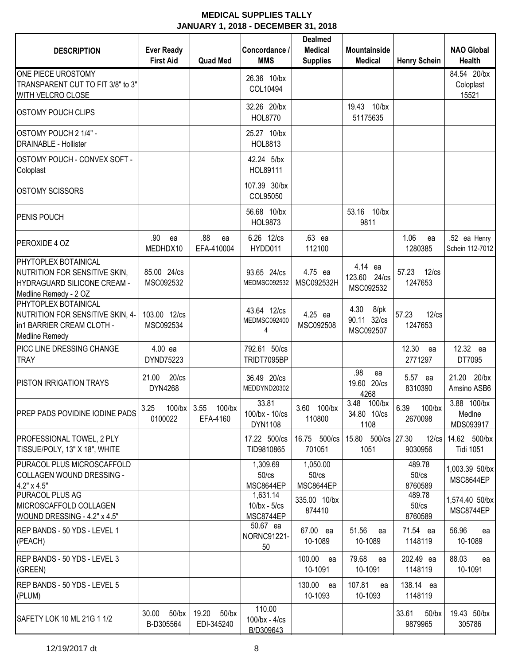| <b>DESCRIPTION</b>                                                                                            | <b>Ever Ready</b><br><b>First Aid</b> | <b>Quad Med</b>           | Concordance /<br><b>MMS</b>                 | <b>Dealmed</b><br><b>Medical</b><br><b>Supplies</b> | <b>Mountainside</b><br><b>Medical</b>    | <b>Henry Schein</b>             | <b>NAO Global</b><br><b>Health</b> |
|---------------------------------------------------------------------------------------------------------------|---------------------------------------|---------------------------|---------------------------------------------|-----------------------------------------------------|------------------------------------------|---------------------------------|------------------------------------|
| ONE PIECE UROSTOMY<br>TRANSPARENT CUT TO FIT 3/8" to 3"<br>WITH VELCRO CLOSE                                  |                                       |                           | 26.36 10/bx<br>COL10494                     |                                                     |                                          |                                 | 84.54 20/bx<br>Coloplast<br>15521  |
| <b>OSTOMY POUCH CLIPS</b>                                                                                     |                                       |                           | 32.26 20/bx<br><b>HOL8770</b>               |                                                     | $10$ /bx<br>19.43<br>51175635            |                                 |                                    |
| OSTOMY POUCH 2 1/4" -<br><b>DRAINABLE - Hollister</b>                                                         |                                       |                           | 25.27 10/bx<br><b>HOL8813</b>               |                                                     |                                          |                                 |                                    |
| OSTOMY POUCH - CONVEX SOFT -<br>Coloplast                                                                     |                                       |                           | 42.24 5/bx<br>HOL89111                      |                                                     |                                          |                                 |                                    |
| <b>OSTOMY SCISSORS</b>                                                                                        |                                       |                           | 107.39 30/bx<br>COL95050                    |                                                     |                                          |                                 |                                    |
| PENIS POUCH                                                                                                   |                                       |                           | 56.68 10/bx<br>HOL9873                      |                                                     | 53.16 10/bx<br>9811                      |                                 |                                    |
| PEROXIDE 4 OZ                                                                                                 | .90<br>ea<br>MEDHDX10                 | .88<br>ea<br>EFA-410004   | 6.26 12/cs<br>HYDD011                       | .63 ea<br>112100                                    |                                          | 1.06<br>ea<br>1280385           | .52 ea Henry<br>Schein 112-7012    |
| PHYTOPLEX BOTAINICAL<br>NUTRITION FOR SENSITIVE SKIN,<br>HYDRAGUARD SILICONE CREAM -<br>Medline Remedy - 2 OZ | 85.00 24/cs<br>MSC092532              |                           | 93.65 24/cs<br>MEDMSC092532                 | 4.75 ea<br>MSC092532H                               | 4.14 ea<br>123.60 24/cs<br>MSC092532     | 57.23<br>$12$ / $cs$<br>1247653 |                                    |
| PHYTOPLEX BOTAINICAL<br>NUTRITION FOR SENSITIVE SKIN, 4-<br>in1 BARRIER CREAM CLOTH -<br>Medline Remedy       | 103.00 12/cs<br>MSC092534             |                           | 43.64 12/cs<br>MEDMSC092400<br>4            | 4.25 ea<br>MSC092508                                | 4.30<br>8/pk<br>90.11 32/cs<br>MSC092507 | 57.23<br>$12$ / $cs$<br>1247653 |                                    |
| PICC LINE DRESSING CHANGE<br><b>TRAY</b>                                                                      | 4.00 ea<br>DYND75223                  |                           | 792.61 50/cs<br>TRIDT7095BP                 |                                                     |                                          | 12.30<br>ea<br>2771297          | 12.32 ea<br>DT7095                 |
| PISTON IRRIGATION TRAYS                                                                                       | $20$ / $cs$<br>21.00<br>DYN4268       |                           | 36.49 20/cs<br>MEDDYND20302                 |                                                     | .98<br>ea<br>19.60 20/cs<br>4268         | 5.57 ea<br>8310390              | 21.20<br>$20$ /bx<br>Amsino ASB6   |
| PREP PADS POVIDINE IODINE PADS                                                                                | 100/bx 3.55<br>3.25<br>0100022        | $100$ /bx<br>EFA-4160     | 33.81<br>100/bx - 10/cs<br>DYN1108          | 3.60<br>$100$ /bx<br>110800                         | 3.48<br>$100$ /bx<br>34.80 10/cs<br>1108 | 6.39<br>$100$ /bx<br>2670098    | 3.88 100/bx<br>Medine<br>MDS093917 |
| <b>PROFESSIONAL TOWEL, 2 PLY</b><br>TISSUE/POLY, 13" X 18", WHITE                                             |                                       |                           | 17.22 500/cs<br>TID9810865                  | 16.75 500/cs<br>701051                              | 15.80 500/cs 27.30<br>1051               | $12$ / $cs$<br>9030956          | 14.62 500/bx<br><b>Tidi 1051</b>   |
| PURACOL PLUS MICROSCAFFOLD<br>COLLAGEN WOUND DRESSING -<br>4.2" x 4.5"                                        |                                       |                           | 1,309.69<br>50/cs<br>MSC8644EP              | 1,050.00<br>$50$ / $cs$<br>MSC8644EP                |                                          | 489.78<br>50/cs<br>8760589      | 1,003.39 50/bx<br>MSC8644EP        |
| PURACOL PLUS AG<br>MICROSCAFFOLD COLLAGEN<br>WOUND DRESSING - 4.2" x 4.5"                                     |                                       |                           | 1,631.14<br>$10$ /bx - $5$ /cs<br>MSC8744EP | 335.00 10/bx<br>874410                              |                                          | 489.78<br>50/cs<br>8760589      | 1,574.40 50/bx<br>MSC8744EP        |
| REP BANDS - 50 YDS - LEVEL 1<br>(PEACH)                                                                       |                                       |                           | 50.67 ea<br>NORNC91221-<br>50               | 67.00 ea<br>10-1089                                 | 51.56<br>ea<br>10-1089                   | 71.54 ea<br>1148119             | 56.96<br>ea<br>10-1089             |
| REP BANDS - 50 YDS - LEVEL 3<br>(GREEN)                                                                       |                                       |                           |                                             | 100.00<br>ea<br>10-1091                             | 79.68<br>ea<br>10-1091                   | 202.49 ea<br>1148119            | 88.03<br>ea<br>10-1091             |
| REP BANDS - 50 YDS - LEVEL 5<br>(PLUM)                                                                        |                                       |                           |                                             | 130.00<br>ea<br>10-1093                             | 107.81<br>ea<br>10-1093                  | 138.14 ea<br>1148119            |                                    |
| SAFETY LOK 10 ML 21G 1 1/2                                                                                    | 30.00 50/bx<br>B-D305564              | 19.20 50/bx<br>EDI-345240 | 110.00<br>$100$ /bx - $4$ /cs<br>B/D309643  |                                                     |                                          | 33.61<br>$50$ /bx<br>9879965    | 19.43 50/bx<br>305786              |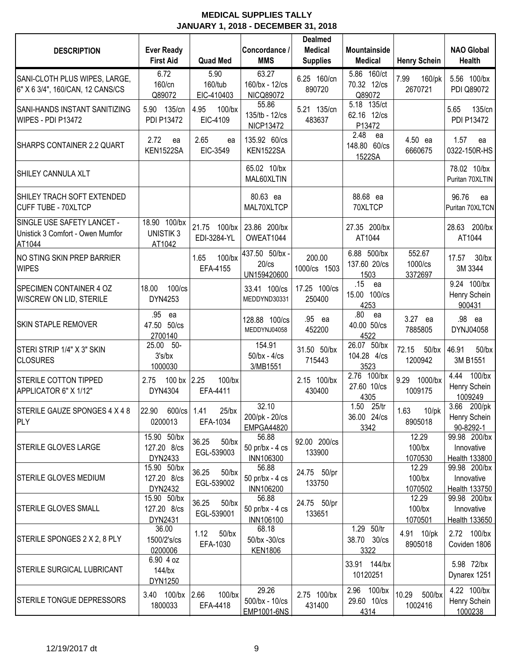| <b>DESCRIPTION</b>                                                       | <b>Ever Ready</b><br><b>First Aid</b>     | <b>Quad Med</b>                 | Concordance /<br><b>MMS</b>                  | <b>Dealmed</b><br><b>Medical</b><br><b>Supplies</b> | <b>Mountainside</b><br><b>Medical</b>      | <b>Henry Schein</b>           | <b>NAO Global</b><br><b>Health</b>           |
|--------------------------------------------------------------------------|-------------------------------------------|---------------------------------|----------------------------------------------|-----------------------------------------------------|--------------------------------------------|-------------------------------|----------------------------------------------|
| SANI-CLOTH PLUS WIPES, LARGE,<br>6" X 6 3/4", 160/CAN, 12 CANS/CS        | 6.72<br>160/cn<br>Q89072                  | 5.90<br>160/tub<br>EIC-410403   | 63.27<br>160/bx - 12/cs<br>NICQ89072         | 6.25 160/cn<br>890720                               | 5.86 160/ct<br>70.32 12/cs<br>Q89072       | 7.99<br>160/pk<br>2670721     | 5.56 100/bx<br>PDI Q89072                    |
| <b>SANI-HANDS INSTANT SANITIZING</b><br>WIPES - PDI P13472               | 5.90<br>135/cn<br>PDI P13472              | 4.95<br>100/bx<br>EIC-4109      | 55.86<br>135/tb - 12/cs<br>NICP13472         | 5.21 135/cn<br>483637                               | 5.18 135/ct<br>62.16 12/cs<br>P13472       |                               | 135/cn<br>5.65<br><b>PDI P13472</b>          |
| SHARPS CONTAINER 2.2 QUART                                               | 2.72<br>ea<br>KEN1522SA                   | 2.65<br>ea<br>EIC-3549          | 135.92 60/cs<br>KEN1522SA                    |                                                     | 2.48<br>ea<br>148.80 60/cs<br>1522SA       | 4.50 ea<br>6660675            | 1.57<br>ea<br>0322-150R-HS                   |
| <b>SHILEY CANNULA XLT</b>                                                |                                           |                                 | 65.02 10/bx<br>MAL60XLTIN                    |                                                     |                                            |                               | 78.02 10/bx<br>Puritan 70XLTIN               |
| SHILEY TRACH SOFT EXTENDED<br><b>CUFF TUBE - 70XLTCP</b>                 |                                           |                                 | 80.63 ea<br>MAL70XLTCP                       |                                                     | 88.68 ea<br>70XLTCP                        |                               | 96.76<br>ea<br>Puritan 70XLTCN               |
| SINGLE USE SAFETY LANCET -<br>Unistick 3 Comfort - Owen Mumfor<br>AT1044 | 18.90 100/bx<br><b>UNISTIK3</b><br>AT1042 | 21.75 100/bx<br>EDI-3284-YL     | 23.86 200/bx<br>OWEAT1044                    |                                                     | 27.35 200/bx<br>AT1044                     |                               | 28.63 200/bx<br>AT1044                       |
| NO STING SKIN PREP BARRIER<br><b>WIPES</b>                               |                                           | 1.65<br>$100$ /bx<br>EFA-4155   | 437.50 50/bx -<br>$20$ / $cs$<br>UN159420600 | 200.00<br>1000/cs 1503                              | 6.88 500/bx<br>137.60 20/cs<br>1503        | 552.67<br>1000/cs<br>3372697  | $30$ /bx<br>17.57<br>3M 3344                 |
| <b>SPECIMEN CONTAINER 4 OZ</b><br>W/SCREW ON LID, STERILE                | 18.00<br>$100$ / $cs$<br>DYN4253          |                                 | 33.41 100/cs<br>MEDDYND30331                 | 17.25 100/cs<br>250400                              | .15<br>ea<br>15.00<br>$100$ / $cs$<br>4253 |                               | 9.24 100/bx<br>Henry Schein<br>900431        |
| <b>SKIN STAPLE REMOVER</b>                                               | .95<br>ea<br>47.50 50/cs<br>2700140       |                                 | 128.88 100/cs<br>MEDDYNJ04058                | .95 ea<br>452200                                    | .80<br>ea<br>40.00 50/cs<br>4522           | 3.27 ea<br>7885805            | .98 ea<br>DYNJ04058                          |
| STERI STRIP 1/4" X 3" SKIN<br><b>CLOSURES</b>                            | 25.00<br>-50-<br>3's/bx<br>1000030        |                                 | 154.91<br>$50$ /bx - $4$ /cs<br>3/MB1551     | 31.50 50/bx<br>715443                               | 26.07 50/bx<br>104.28 4/cs<br>3523         | 72.15<br>$50$ /bx<br>1200942  | 46.91<br>$50$ /bx<br>3M B1551                |
| <b>STERILE COTTON TIPPED</b><br>APPLICATOR 6" X 1/12"                    | 100 bx 2.25<br>2.75<br>DYN4304            | 100/bx<br>EFA-4411              |                                              | 2.15 100/bx<br>430400                               | 2.76 100/bx<br>27.60 10/cs<br>4305         | 9.29<br>1000/bx<br>1009175    | 4.44<br>$100$ /bx<br>Henry Schein<br>1009249 |
| STERILE GAUZE SPONGES 4 X 4 8<br><b>PLY</b>                              | 22.90 600/cs 1.41<br>0200013              | $25$ /bx<br>EFA-1034            | 32.10<br>200/pk - 20/cs<br><b>EMPGA44820</b> |                                                     | 1.50 25/tr<br>36.00 24/cs<br>3342          | 1.63<br>$10$ /pk<br>8905018   | 3.66<br>200/pk<br>Henry Schein<br>90-8292-1  |
| <b>STERILE GLOVES LARGE</b>                                              | 15.90 50/bx<br>127.20 8/cs<br>DYN2433     | 36.25<br>$50$ /bx<br>EGL-539003 | 56.88<br>50 pr/bx - 4 cs<br><b>INN106300</b> | 92.00 200/cs<br>133900                              |                                            | 12.29<br>$100$ /bx<br>1070530 | 99.98 200/bx<br>Innovative<br>Health 133800  |
| <b>STERILE GLOVES MEDIUM</b>                                             | 15.90 50/bx<br>127.20 8/cs<br>DYN2432     | 36.25<br>$50$ /bx<br>EGL-539002 | 56.88<br>50 pr/bx - 4 cs<br>INN106200        | 24.75 50/pr<br>133750                               |                                            | 12.29<br>100/bx<br>1070502    | 99.98 200/bx<br>Innovative<br>Health 133750  |
| <b>STERILE GLOVES SMALL</b>                                              | 15.90 50/bx<br>127.20 8/cs<br>DYN2431     | 36.25<br>$50$ /bx<br>EGL-539001 | 56.88<br>50 pr/bx - 4 cs<br><b>INN106100</b> | 24.75 50/pr<br>133651                               |                                            | 12.29<br>100/bx<br>1070501    | 99.98 200/bx<br>Innovative<br>Health 133650  |
| STERILE SPONGES 2 X 2, 8 PLY                                             | 36.00<br>1500/2's/cs<br>0200006           | 1.12<br>$50$ /bx<br>EFA-1030    | 68.18<br>50/bx -30/cs<br><b>KEN1806</b>      |                                                     | 1.29 50/tr<br>38.70 30/cs<br>3322          | 4.91 10/pk<br>8905018         | 2.72 100/bx<br>Coviden 1806                  |
| <b>STERILE SURGICAL LUBRICANT</b>                                        | 6.90 4 oz<br>144/bx<br>DYN1250            |                                 |                                              |                                                     | 33.91 144/bx<br>10120251                   |                               | 5.98 72/bx<br>Dynarex 1251                   |
| STERILE TONGUE DEPRESSORS                                                | 3.40 100/bx<br>1800033                    | 2.66<br>$100$ /bx<br>EFA-4418   | 29.26<br>500/bx - 10/cs<br>EMP1001-6NS       | 2.75 100/bx<br>431400                               | 2.96 100/bx<br>29.60 10/cs<br>4314         | 10.29<br>500/bx<br>1002416    | 4.22 100/bx<br>Henry Schein<br>1000238       |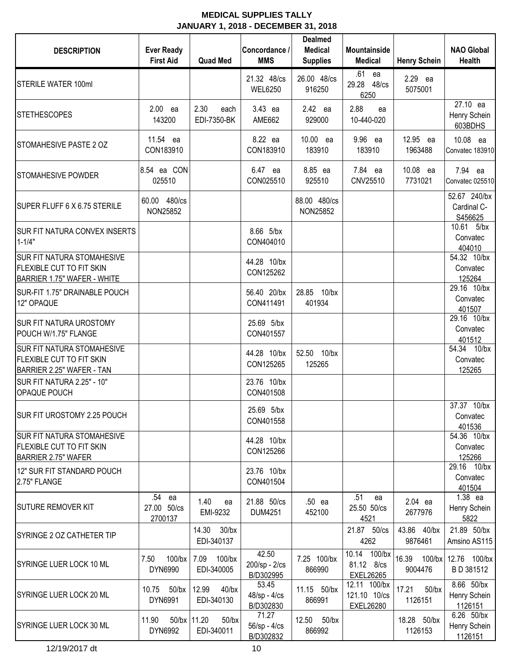| <b>DESCRIPTION</b>                                                                                  | <b>Ever Ready</b><br><b>First Aid</b> | <b>Quad Med</b>                       | Concordance /<br><b>MMS</b>         | <b>Dealmed</b><br><b>Medical</b><br><b>Supplies</b> | <b>Mountainside</b><br><b>Medical</b>            | <b>Henry Schein</b>          | <b>NAO Global</b><br>Health            |
|-----------------------------------------------------------------------------------------------------|---------------------------------------|---------------------------------------|-------------------------------------|-----------------------------------------------------|--------------------------------------------------|------------------------------|----------------------------------------|
| <b>STERILE WATER 100ml</b>                                                                          |                                       |                                       | 21.32 48/cs<br><b>WEL6250</b>       | 26.00 48/cs<br>916250                               | .61<br>ea<br>29.28 48/cs<br>6250                 | 2.29 ea<br>5075001           |                                        |
| <b>STETHESCOPES</b>                                                                                 | 2.00 ea<br>143200                     | 2.30<br>each<br>EDI-7350-BK           | 3.43 ea<br>AME662                   | 2.42 ea<br>929000                                   | 2.88<br>ea<br>10-440-020                         |                              | 27.10 ea<br>Henry Schein<br>603BDHS    |
| STOMAHESIVE PASTE 2 OZ                                                                              | 11.54 ea<br>CON183910                 |                                       | 8.22 ea<br>CON183910                | 10.00 ea<br>183910                                  | 9.96 ea<br>183910                                | 12.95 ea<br>1963488          | 10.08 ea<br>Convatec 183910            |
| <b>STOMAHESIVE POWDER</b>                                                                           | 8.54 ea CON<br>025510                 |                                       | 6.47 ea<br>CON025510                | 8.85 ea<br>925510                                   | 7.84 ea<br>CNV25510                              | 10.08 ea<br>7731021          | 7.94 ea<br>Convatec 025510             |
| SUPER FLUFF 6 X 6.75 STERILE                                                                        | 60.00 480/cs<br>NON25852              |                                       |                                     | 88.00 480/cs<br>NON25852                            |                                                  |                              | 52.67 240/bx<br>Cardinal C-<br>S456625 |
| <b>SUR FIT NATURA CONVEX INSERTS</b><br>$1 - 1/4"$                                                  |                                       |                                       | 8.66 5/bx<br>CON404010              |                                                     |                                                  |                              | 10.61 5/bx<br>Convatec<br>404010       |
| <b>SUR FIT NATURA STOMAHESIVE</b><br><b>FLEXIBLE CUT TO FIT SKIN</b><br>BARRIER 1.75" WAFER - WHITE |                                       |                                       | 44.28 10/bx<br>CON125262            |                                                     |                                                  |                              | 54.32 10/bx<br>Convatec<br>125264      |
| SUR-FIT 1.75" DRAINABLE POUCH<br>12" OPAQUE                                                         |                                       |                                       | 56.40 20/bx<br>CON411491            | 28.85 10/bx<br>401934                               |                                                  |                              | 29.16 10/bx<br>Convatec<br>401507      |
| <b>SUR FIT NATURA UROSTOMY</b><br>POUCH W/1.75" FLANGE                                              |                                       |                                       | 25.69 5/bx<br>CON401557             |                                                     |                                                  |                              | 29.16 10/bx<br>Convatec<br>401512      |
| <b>SUR FIT NATURA STOMAHESIVE</b><br><b>FLEXIBLE CUT TO FIT SKIN</b><br>BARRIER 2.25" WAFER - TAN   |                                       |                                       | 44.28 10/bx<br>CON125265            | 52.50 10/bx<br>125265                               |                                                  |                              | 54.34 10/bx<br>Convatec<br>125265      |
| SUR FIT NATURA 2.25" - 10"<br><b>OPAQUE POUCH</b>                                                   |                                       |                                       | 23.76 10/bx<br>CON401508            |                                                     |                                                  |                              |                                        |
| SUR FIT UROSTOMY 2.25 POUCH                                                                         |                                       |                                       | 25.69 5/bx<br>CON401558             |                                                     |                                                  |                              | 37.37 10/bx<br>Convatec<br>401536      |
| <b>SUR FIT NATURA STOMAHESIVE</b><br><b>FLEXIBLE CUT TO FIT SKIN</b><br><b>BARRIER 2.75" WAFER</b>  |                                       |                                       | 44.28 10/bx<br>CON125266            |                                                     |                                                  |                              | 54.36 10/bx<br>Convatec<br>125266      |
| 12" SUR FIT STANDARD POUCH<br>2.75" FLANGE                                                          |                                       |                                       | 23.76 10/bx<br>CON401504            |                                                     |                                                  |                              | 29.16 10/bx<br>Convatec<br>401504      |
| <b>SUTURE REMOVER KIT</b>                                                                           | .54 ea<br>27.00 50/cs<br>2700137      | 1.40<br>ea<br>EMI-9232                | 21.88 50/cs<br><b>DUM4251</b>       | .50 ea<br>452100                                    | .51<br>ea<br>25.50 50/cs<br>4521                 | 2.04 ea<br>2677976           | 1.38 ea<br>Henry Schein<br>5822        |
| <b>SYRINGE 2 OZ CATHETER TIP</b>                                                                    |                                       | 14.30 30/bx<br>EDI-340137             |                                     |                                                     | 21.87 50/cs<br>4262                              | 43.86 40/bx<br>9876461       | 21.89 50/bx<br>Amsino AS115            |
| SYRINGE LUER LOCK 10 ML                                                                             | 7.50<br>DYN6990                       | 100/bx 7.09 100/bx<br>EDI-340005      | 42.50<br>200/sp - 2/cs<br>B/D302995 | 7.25 100/bx<br>866990                               | 10.14 100/bx<br>81.12 8/cs<br><b>EXEL26265</b>   | 16.39<br>9004476             | 100/bx 12.76 100/bx<br>BD 381512       |
| SYRINGE LUER LOCK 20 ML                                                                             | 10.75 50/bx<br>DYN6991                | 12.99<br>$40$ /bx<br>EDI-340130       | 53.45<br>48/sp - 4/cs<br>B/D302830  | 11.15 50/bx<br>866991                               | 12.11 100/bx<br>121.10 10/cs<br><b>EXEL26280</b> | $50$ /bx<br>17.21<br>1126151 | 8.66 50/bx<br>Henry Schein<br>1126151  |
| SYRINGE LUER LOCK 30 ML                                                                             | 11.90<br>DYN6992                      | 50/bx 11.20<br>$50$ /bx<br>EDI-340011 | 71.27<br>56/sp - 4/cs<br>B/D302832  | 12.50 50/bx<br>866992                               |                                                  | 18.28 50/bx<br>1126153       | 6.26 50/bx<br>Henry Schein<br>1126151  |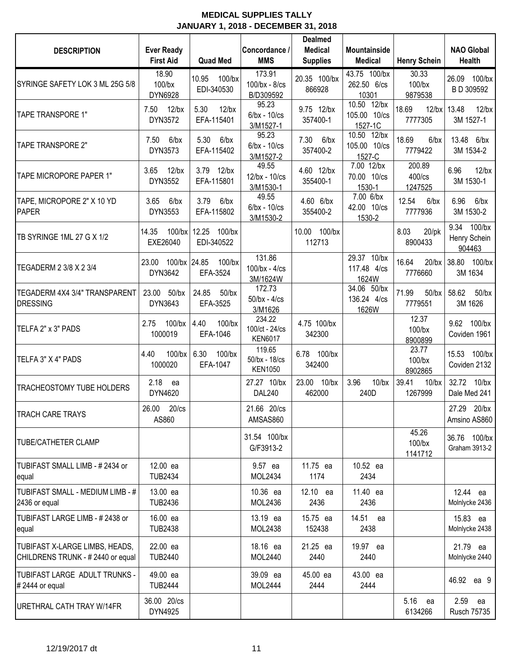| <b>DESCRIPTION</b>                                                 | <b>Ever Ready</b><br><b>First Aid</b> | <b>Quad Med</b>                | Concordance /<br><b>MMS</b>                | <b>Dealmed</b><br><b>Medical</b><br><b>Supplies</b> | <b>Mountainside</b><br><b>Medical</b>  | <b>Henry Schein</b>           | <b>NAO Global</b><br>Health                 |
|--------------------------------------------------------------------|---------------------------------------|--------------------------------|--------------------------------------------|-----------------------------------------------------|----------------------------------------|-------------------------------|---------------------------------------------|
| SYRINGE SAFETY LOK 3 ML 25G 5/8                                    | 18.90<br>$100$ /bx<br>DYN6928         | 10.95<br>100/bx<br>EDI-340530  | 173.91<br>100/bx - 8/cs<br>B/D309592       | 20.35 100/bx<br>866928                              | 43.75 100/bx<br>262.50 6/cs<br>10301   | 30.33<br>$100$ /bx<br>9879538 | $100$ /bx<br>26.09<br>B D 309592            |
| <b>TAPE TRANSPORE 1"</b>                                           | 7.50<br>$12$ /bx<br>DYN3572           | 5.30<br>$12$ /bx<br>EFA-115401 | 95.23<br>$6$ /bx - $10$ /cs<br>3/M1527-1   | 9.75 12/bx<br>357400-1                              | 10.50 12/bx<br>105.00 10/cs<br>1527-1C | 18.69<br>7777305              | 12/bx 13.48<br>$12$ /bx<br>3M 1527-1        |
| TAPE TRANSPORE 2"                                                  | 7.50<br>$6$ /bx<br>DYN3573            | 5.30<br>$6$ /bx<br>EFA-115402  | 95.23<br>$6$ /bx - $10$ /cs<br>3/M1527-2   | 7.30<br>6/bx<br>357400-2                            | 10.50 12/bx<br>105.00 10/cs<br>1527-C  | 18.69<br>$6$ /bx<br>7779422   | 13.48 6/bx<br>3M 1534-2                     |
| TAPE MICROPORE PAPER 1"                                            | $12$ /bx<br>3.65<br>DYN3552           | 3.79 12/bx<br>EFA-115801       | 49.55<br>12/bx - 10/cs<br>3/M1530-1        | 4.60 12/bx<br>355400-1                              | 7.00 12/bx<br>70.00 10/cs<br>1530-1    | 200.89<br>400/cs<br>1247525   | $12$ /bx<br>6.96<br>3M 1530-1               |
| TAPE, MICROPORE 2" X 10 YD<br>PAPER                                | $6$ /bx<br>3.65<br>DYN3553            | 3.79<br>$6$ /bx<br>EFA-115802  | 49.55<br>$6$ /bx - $10$ /cs<br>3/M1530-2   | 4.60 6/bx<br>355400-2                               | 7.00 6/bx<br>42.00 10/cs<br>1530-2     | 12.54<br>$6$ /bx<br>7777936   | $6$ /bx<br>6.96<br>3M 1530-2                |
| TB SYRINGE 1ML 27 G X 1/2                                          | $100$ /bx<br>14.35<br>EXE26040        | 12.25 100/bx<br>EDI-340522     |                                            | 10.00 100/bx<br>112713                              |                                        | 8.03<br>$20$ /pk<br>8900433   | 9.34<br>$100$ /bx<br>Henry Schein<br>904463 |
| TEGADERM 2 3/8 X 2 3/4                                             | 100/bx 24.85<br>23.00<br>DYN3642      | 100/bx<br>EFA-3524             | 131.86<br>$100$ /bx - $4$ /cs<br>3M/1624W  |                                                     | 29.37 10/bx<br>117.48 4/cs<br>1624W    | 16.64<br>$20$ /bx<br>7776660  | 38.80<br>$100$ /bx<br>3M 1634               |
| TEGADERM 4X4 3/4" TRANSPARENT<br><b>DRESSING</b>                   | 23.00 50/bx<br>DYN3643                | 24.85<br>$50$ /bx<br>EFA-3525  | 172.73<br>$50$ /bx - $4$ /cs<br>3/M1626    |                                                     | 34.06 50/bx<br>136.24 4/cs<br>1626W    | 71.99<br>$50$ /bx<br>7779551  | 58.62<br>$50$ /bx<br>3M 1626                |
| TELFA 2" x 3" PADS                                                 | $100$ /bx<br>2.75<br>1000019          | 4.40<br>$100$ /bx<br>EFA-1046  | 234.22<br>100/ct - 24/cs<br><b>KEN6017</b> | 4.75 100/bx<br>342300                               |                                        | 12.37<br>$100$ /bx<br>8900899 | 9.62 100/bx<br>Coviden 1961                 |
| TELFA 3" X 4" PADS                                                 | $100$ /bx<br>4.40<br>1000020          | 6.30<br>$100$ /bx<br>EFA-1047  | 119.65<br>50/bx - 18/cs<br><b>KEN1050</b>  | 6.78 100/bx<br>342400                               |                                        | 23.77<br>$100$ /bx<br>8902865 | 15.53 100/bx<br>Coviden 2132                |
| TRACHEOSTOMY TUBE HOLDERS                                          | 2.18<br>ea<br>DYN4620                 |                                | 27.27 10/bx<br><b>DAL240</b>               | 23.00 10/bx<br>462000                               | 3.96<br>$10$ /bx<br>240D               | 39.41<br>$10$ /bx<br>1267999  | 32.72<br>$10$ /bx<br>Dale Med 241           |
| <b>TRACH CARE TRAYS</b>                                            | 26.00<br>$20$ / $cs$<br>AS860         |                                | 21.66 20/cs<br>AMSAS860                    |                                                     |                                        |                               | 27.29 20/bx<br>Amsino AS860                 |
| <b>TUBE/CATHETER CLAMP</b>                                         |                                       |                                | 31.54 100/bx<br>G/F3913-2                  |                                                     |                                        | 45.26<br>$100$ /bx<br>1141712 | 36.76 100/bx<br>Graham 3913-2               |
| TUBIFAST SMALL LIMB - #2434 or<br>equal                            | 12.00 ea<br><b>TUB2434</b>            |                                | 9.57 ea<br>MOL2434                         | 11.75 ea<br>1174                                    | 10.52 ea<br>2434                       |                               |                                             |
| TUBIFAST SMALL - MEDIUM LIMB - #<br>2436 or equal                  | 13.00 ea<br><b>TUB2436</b>            |                                | 10.36 ea<br>MOL2436                        | 12.10 ea<br>2436                                    | 11.40 ea<br>2436                       |                               | 12.44 ea<br>Molnlycke 2436                  |
| TUBIFAST LARGE LIMB - #2438 or<br>equal                            | 16.00 ea<br><b>TUB2438</b>            |                                | 13.19 ea<br>MOL2438                        | 15.75 ea<br>152438                                  | 14.51 ea<br>2438                       |                               | 15.83 ea<br>Molnlycke 2438                  |
| TUBIFAST X-LARGE LIMBS, HEADS,<br>CHILDRENS TRUNK - #2440 or equal | 22.00 ea<br><b>TUB2440</b>            |                                | 18.16 ea<br>MOL2440                        | 21.25 ea<br>2440                                    | 19.97 ea<br>2440                       |                               | 21.79 ea<br>Molnlycke 2440                  |
| TUBIFAST LARGE ADULT TRUNKS -<br>$# 2444$ or equal                 | 49.00 ea<br><b>TUB2444</b>            |                                | 39.09 ea<br><b>MOL2444</b>                 | 45.00 ea<br>2444                                    | 43.00 ea<br>2444                       |                               | 46.92 ea 9                                  |
| URETHRAL CATH TRAY W/14FR                                          | 36.00 20/cs<br>DYN4925                |                                |                                            |                                                     |                                        | 5.16 ea<br>6134266            | 2.59<br>ea<br><b>Rusch 75735</b>            |